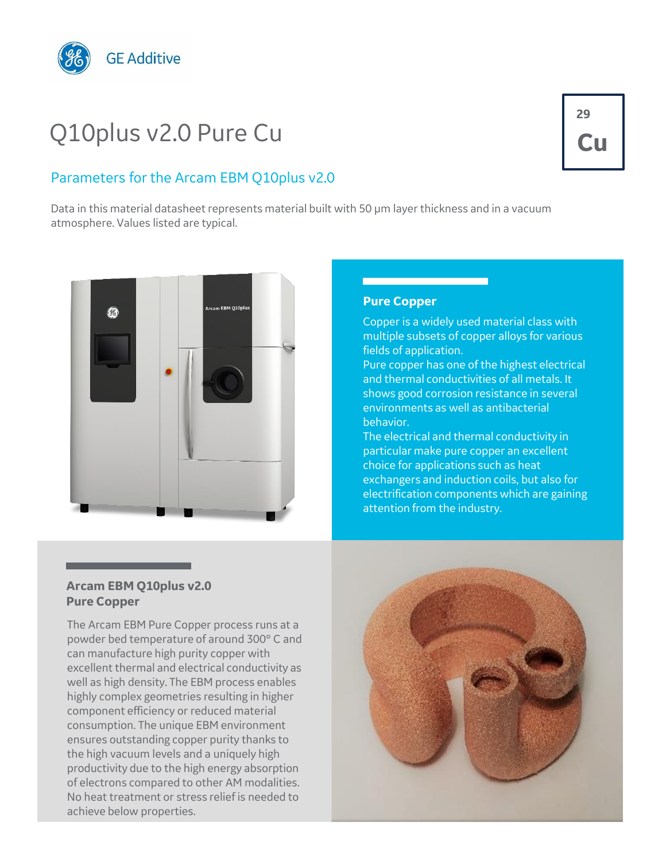

# Q10plus v2.0 Pure Cu

### Parameters for the Arcam EBM Q10plus v2.0

Data in this material datasheet represents material built with 50 µm layer thickness and in a vacuum atmosphere. Values listed are typical.



#### **Pure Copper**

Copper is a widely used material class with multiple subsets of copper alloys for various fields of application.

Pure copper has one of the highest electrical and thermal conductivities of all metals. It shows good corrosion resistance in several environments as well as antibacterial behavior.

The electrical and thermal conductivity in particular make pure copper an excellent choice for applications such as heat exchangers and induction coils, but also for electrification components which are gaining attention from the industry.

#### **Arcam EBM Q10plus v2.0 Pure Copper**

The Arcam EBM Pure Copper process runs at a powder bed temperature of around 300° C and can manufacture high purity copper with excellent thermal and electrical conductivity as well as high density. The EBM process enables highly complex geometries resulting in higher component efficiency or reduced material consumption. The unique EBM environment ensures outstanding copper purity thanks to the high vacuum levels and a uniquely high productivity due to the high energy absorption of electrons compared to other AM modalities. No heat treatment or stress relief is needed to achieve below properties.



## **29 Cu**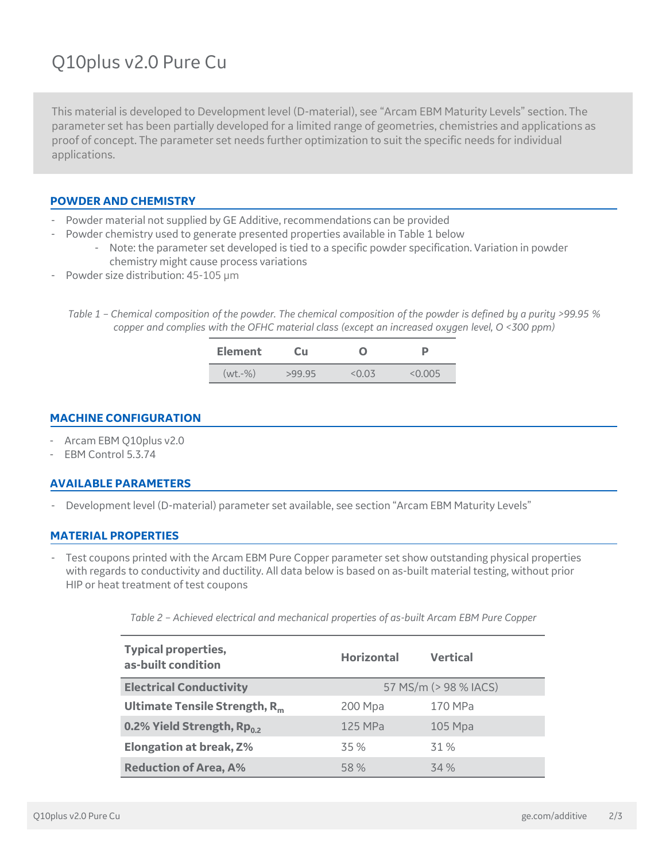### Q10plus v2.0 Pure Cu

This material is developed to Development level (D-material), see "Arcam EBM Maturity Levels" section. The parameter set has been partially developed for a limited range of geometries, chemistries and applications as proof of concept. The parameter set needs further optimization to suit the specific needs for individual applications.

#### **POWDER AND CHEMISTRY**

- Powder material not supplied by GE Additive, recommendations can be provided
	- Powder chemistry used to generate presented properties available in Table 1 below
		- Note: the parameter set developed is tied to a specific powder specification. Variation in powder chemistry might cause process variations
- Powder size distribution: 45-105 um
	- *Table 1 – Chemical composition of the powder. The chemical composition of the powder is defined by a purity >99.95 % copper and complies with the OFHC material class (except an increased oxygen level, O <300 ppm)*

| <b>Element</b> | Cи     |        |         |  |
|----------------|--------|--------|---------|--|
| $(wt,-\%)$     | >99.95 | < 0.03 | < 0.005 |  |

#### **MACHINE CONFIGURATION**

- Arcam EBM Q10plus v2.0
- EBM Control 5.3.74

#### **AVAILABLE PARAMETERS**

Development level (D-material) parameter set available, see section "Arcam EBM Maturity Levels"

#### **MATERIAL PROPERTIES**

Test coupons printed with the Arcam EBM Pure Copper parameter set show outstanding physical properties with regards to conductivity and ductility. All data below is based on as-built material testing, without prior HIP or heat treatment of test coupons

| Table 2 - Achieved electrical and mechanical properties of as-built Arcam EBM Pure Copper |  |  |  |
|-------------------------------------------------------------------------------------------|--|--|--|
|                                                                                           |  |  |  |

| <b>Typical properties,</b><br>as-built condition | <b>Horizontal</b>     | <b>Vertical</b> |  |
|--------------------------------------------------|-----------------------|-----------------|--|
| <b>Electrical Conductivity</b>                   | 57 MS/m (> 98 % IACS) |                 |  |
| Ultimate Tensile Strength, $R_m$                 | 200 Mpa               | 170 MPa         |  |
| 0.2% Yield Strength, Rp <sub>0.2</sub>           | 125 MPa               | $105$ Mpa       |  |
| <b>Elongation at break, Z%</b>                   | 35 %                  | 31 %            |  |
| <b>Reduction of Area, A%</b>                     | 58 %                  | 34 %            |  |